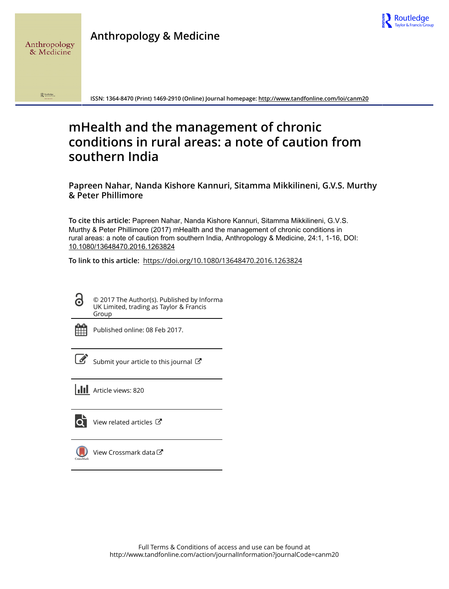

 $\mathbf{R}$  Routledge

Anthropology & Medicine

**ISSN: 1364-8470 (Print) 1469-2910 (Online) Journal homepage:<http://www.tandfonline.com/loi/canm20>**

# **mHealth and the management of chronic conditions in rural areas: a note of caution from southern India**

**Papreen Nahar, Nanda Kishore Kannuri, Sitamma Mikkilineni, G.V.S. Murthy & Peter Phillimore**

**To cite this article:** Papreen Nahar, Nanda Kishore Kannuri, Sitamma Mikkilineni, G.V.S. Murthy & Peter Phillimore (2017) mHealth and the management of chronic conditions in rural areas: a note of caution from southern India, Anthropology & Medicine, 24:1, 1-16, DOI: [10.1080/13648470.2016.1263824](http://www.tandfonline.com/action/showCitFormats?doi=10.1080/13648470.2016.1263824)

**To link to this article:** <https://doi.org/10.1080/13648470.2016.1263824>

© 2017 The Author(s). Published by Informa UK Limited, trading as Taylor & Francis Group

G

Published online: 08 Feb 2017.

[Submit your article to this journal](http://www.tandfonline.com/action/authorSubmission?journalCode=canm20&show=instructions)  $\mathbb{Z}$ 

**Article views: 820** 

 $\overline{Q}$  [View related articles](http://www.tandfonline.com/doi/mlt/10.1080/13648470.2016.1263824)  $\mathbb{Z}$ 



[View Crossmark data](http://crossmark.crossref.org/dialog/?doi=10.1080/13648470.2016.1263824&domain=pdf&date_stamp=2017-02-08)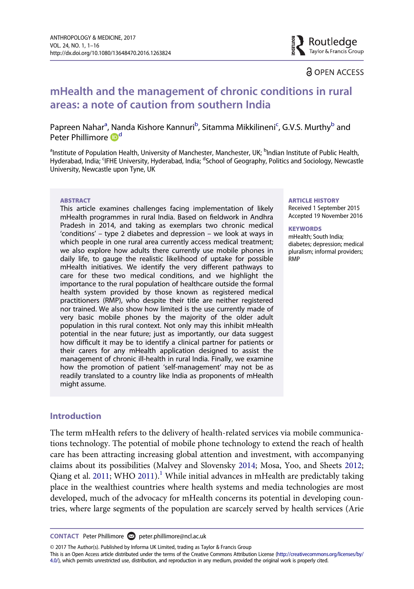

Routledge

# mHealth and the management of chronic conditions in rural areas: a note of caution from southern India

Papreen Nahar<sup>a</sup>, Nanda Kishore Kannuri<sup>[b](#page-1-0)</sup>, Sitamma Mikkilineni<sup>[c](#page-1-1)</sup>, G.V.S. Murthy<sup>b</sup> and Peter Phillimore D<sup>[d](#page-1-1)</sup>

<span id="page-1-1"></span><span id="page-1-0"></span><sup>a</sup>Institute of Population Health, University of Manchester, Manchester, UK; <sup>b</sup>Indian Institute of Public Health, Hyderabad, India; <sup>c</sup>IFHE University, Hyderabad, India; <sup>d</sup>School of Geography, Politics and Sociology, Newcastle University, Newcastle upon Tyne, UK

#### **ARSTRACT**

This article examines challenges facing implementation of likely mHealth programmes in rural India. Based on fieldwork in Andhra Pradesh in 2014, and taking as exemplars two chronic medical 'conditions' – type 2 diabetes and depression – we look at ways in which people in one rural area currently access medical treatment; we also explore how adults there currently use mobile phones in daily life, to gauge the realistic likelihood of uptake for possible mHealth initiatives. We identify the very different pathways to care for these two medical conditions, and we highlight the importance to the rural population of healthcare outside the formal health system provided by those known as registered medical practitioners (RMP), who despite their title are neither registered nor trained. We also show how limited is the use currently made of very basic mobile phones by the majority of the older adult population in this rural context. Not only may this inhibit mHealth potential in the near future; just as importantly, our data suggest how difficult it may be to identify a clinical partner for patients or their carers for any mHealth application designed to assist the management of chronic ill-health in rural India. Finally, we examine how the promotion of patient 'self-management' may not be as readily translated to a country like India as proponents of mHealth might assume.

#### Introduction

<span id="page-1-4"></span><span id="page-1-3"></span>The term mHealth refers to the delivery of health-related services via mobile communications technology. The potential of mobile phone technology to extend the reach of health care has been attracting increasing global attention and investment, with accompanying claims about its possibilities (Malvey and Slovensky [2014](#page-15-0); Mosa, Yoo, and Sheets [2012](#page-15-1); Qiang et al. [2011;](#page-15-2) WHO [2011](#page-16-0)).<sup>1</sup> While initial advances in mHealth are predictably taking place in the wealthiest countries where health systems and media technologies are most developed, much of the advocacy for mHealth concerns its potential in developing countries, where large segments of the population are scarcely served by health services (Arie

© 2017 The Author(s). Published by Informa UK Limited, trading as Taylor & Francis Group

This is an Open Access article distributed under the terms of the Creative Commons Attribution License [\(http://creativecommons.org/licenses/by/](http://creativecommons.org/licenses/by/4.0/) [4.0/](http://creativecommons.org/licenses/by/4.0/)), which permits unrestricted use, distribution, and reproduction in any medium, provided the original work is properly cited.

#### ARTICLE HISTORY

Received 1 September 2015 Accepted 19 November 2016

#### **KEYWORDS**

mHealth; South India; diabetes; depression; medical pluralism; informal providers; RMP

<span id="page-1-2"></span>CONTACT Peter Phillimore **⊘** [peter.phillimore@ncl.ac.uk](mailto:peter.phillimore@ncl.ac.uk)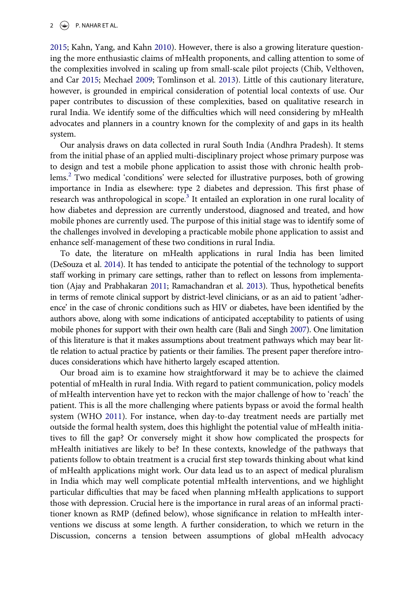#### 2  $\left(\rightarrow\right)$  P. NAHAR ET AL.

<span id="page-2-4"></span><span id="page-2-2"></span>[2015;](#page-14-0) Kahn, Yang, and Kahn [2010](#page-15-3)). However, there is also a growing literature questioning the more enthusiastic claims of mHealth proponents, and calling attention to some of the complexities involved in scaling up from small-scale pilot projects (Chib, Velthoven, and Car [2015;](#page-14-1) Mechael [2009;](#page-15-4) Tomlinson et al. [2013\)](#page-16-1). Little of this cautionary literature, however, is grounded in empirical consideration of potential local contexts of use. Our paper contributes to discussion of these complexities, based on qualitative research in rural India. We identify some of the difficulties which will need considering by mHealth advocates and planners in a country known for the complexity of and gaps in its health system.

Our analysis draws on data collected in rural South India (Andhra Pradesh). It stems from the initial phase of an applied multi-disciplinary project whose primary purpose was to design and test a mobile phone application to assist those with chronic health prob-lems.<sup>[2](#page-12-1)</sup> Two medical 'conditions' were selected for illustrative purposes, both of growing importance in India as elsewhere: type 2 diabetes and depression. This first phase of research was anthropological in scope.<sup>[3](#page-12-2)</sup> It entailed an exploration in one rural locality of how diabetes and depression are currently understood, diagnosed and treated, and how mobile phones are currently used. The purpose of this initial stage was to identify some of the challenges involved in developing a practicable mobile phone application to assist and enhance self-management of these two conditions in rural India.

<span id="page-2-3"></span><span id="page-2-0"></span>To date, the literature on mHealth applications in rural India has been limited (DeSouza et al. [2014\)](#page-14-2). It has tended to anticipate the potential of the technology to support staff working in primary care settings, rather than to reflect on lessons from implementation (Ajay and Prabhakaran [2011;](#page-14-3) Ramachandran et al. [2013](#page-15-5)). Thus, hypothetical benefits in terms of remote clinical support by district-level clinicians, or as an aid to patient 'adherence' in the case of chronic conditions such as HIV or diabetes, have been identified by the authors above, along with some indications of anticipated acceptability to patients of using mobile phones for support with their own health care (Bali and Singh [2007](#page-14-4)). One limitation of this literature is that it makes assumptions about treatment pathways which may bear little relation to actual practice by patients or their families. The present paper therefore introduces considerations which have hitherto largely escaped attention.

<span id="page-2-1"></span>Our broad aim is to examine how straightforward it may be to achieve the claimed potential of mHealth in rural India. With regard to patient communication, policy models of mHealth intervention have yet to reckon with the major challenge of how to 'reach' the patient. This is all the more challenging where patients bypass or avoid the formal health system (WHO [2011\)](#page-16-0). For instance, when day-to-day treatment needs are partially met outside the formal health system, does this highlight the potential value of mHealth initiatives to fill the gap? Or conversely might it show how complicated the prospects for mHealth initiatives are likely to be? In these contexts, knowledge of the pathways that patients follow to obtain treatment is a crucial first step towards thinking about what kind of mHealth applications might work. Our data lead us to an aspect of medical pluralism in India which may well complicate potential mHealth interventions, and we highlight particular difficulties that may be faced when planning mHealth applications to support those with depression. Crucial here is the importance in rural areas of an informal practitioner known as RMP (defined below), whose significance in relation to mHealth interventions we discuss at some length. A further consideration, to which we return in the Discussion, concerns a tension between assumptions of global mHealth advocacy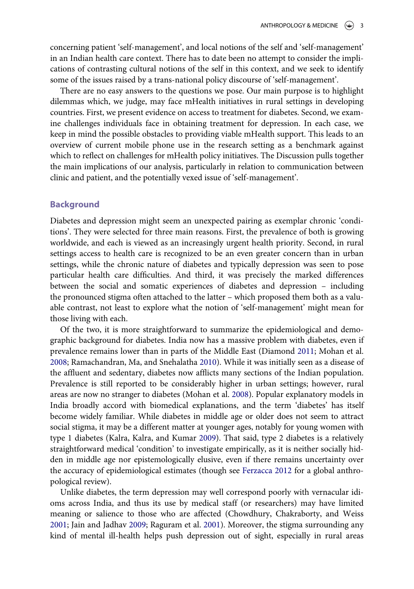concerning patient 'self-management', and local notions of the self and 'self-management' in an Indian health care context. There has to date been no attempt to consider the implications of contrasting cultural notions of the self in this context, and we seek to identify some of the issues raised by a trans-national policy discourse of 'self-management'.

There are no easy answers to the questions we pose. Our main purpose is to highlight dilemmas which, we judge, may face mHealth initiatives in rural settings in developing countries. First, we present evidence on access to treatment for diabetes. Second, we examine challenges individuals face in obtaining treatment for depression. In each case, we keep in mind the possible obstacles to providing viable mHealth support. This leads to an overview of current mobile phone use in the research setting as a benchmark against which to reflect on challenges for mHealth policy initiatives. The Discussion pulls together the main implications of our analysis, particularly in relation to communication between clinic and patient, and the potentially vexed issue of 'self-management'.

#### **Background**

Diabetes and depression might seem an unexpected pairing as exemplar chronic 'conditions'. They were selected for three main reasons. First, the prevalence of both is growing worldwide, and each is viewed as an increasingly urgent health priority. Second, in rural settings access to health care is recognized to be an even greater concern than in urban settings, while the chronic nature of diabetes and typically depression was seen to pose particular health care difficulties. And third, it was precisely the marked differences between the social and somatic experiences of diabetes and depression – including the pronounced stigma often attached to the latter – which proposed them both as a valuable contrast, not least to explore what the notion of 'self-management' might mean for those living with each.

<span id="page-3-6"></span><span id="page-3-5"></span><span id="page-3-1"></span>Of the two, it is more straightforward to summarize the epidemiological and demographic background for diabetes. India now has a massive problem with diabetes, even if prevalence remains lower than in parts of the Middle East (Diamond [2011;](#page-14-5) Mohan et al. [2008;](#page-15-6) Ramachandran, Ma, and Snehalatha [2010](#page-15-7)). While it was initially seen as a disease of the affluent and sedentary, diabetes now afflicts many sections of the Indian population. Prevalence is still reported to be considerably higher in urban settings; however, rural areas are now no stranger to diabetes (Mohan et al. [2008](#page-15-6)). Popular explanatory models in India broadly accord with biomedical explanations, and the term 'diabetes' has itself become widely familiar. While diabetes in middle age or older does not seem to attract social stigma, it may be a different matter at younger ages, notably for young women with type 1 diabetes (Kalra, Kalra, and Kumar [2009](#page-15-8)). That said, type 2 diabetes is a relatively straightforward medical 'condition' to investigate empirically, as it is neither socially hidden in middle age nor epistemologically elusive, even if there remains uncertainty over the accuracy of epidemiological estimates (though see [Ferzacca 2012](#page-14-6) for a global anthropological review).

<span id="page-3-4"></span><span id="page-3-3"></span><span id="page-3-2"></span><span id="page-3-0"></span>Unlike diabetes, the term depression may well correspond poorly with vernacular idioms across India, and thus its use by medical staff (or researchers) may have limited meaning or salience to those who are affected (Chowdhury, Chakraborty, and Weiss [2001;](#page-14-7) Jain and Jadhav [2009;](#page-14-8) Raguram et al. [2001\)](#page-15-9). Moreover, the stigma surrounding any kind of mental ill-health helps push depression out of sight, especially in rural areas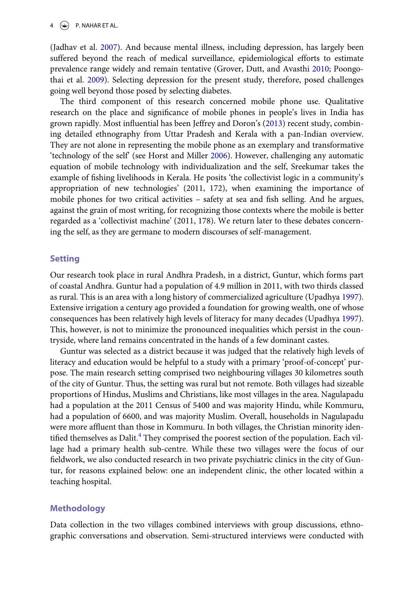#### $4 \quad \circledast$  P. NAHAR ET AL.

<span id="page-4-2"></span><span id="page-4-0"></span>(Jadhav et al. [2007\)](#page-14-9). And because mental illness, including depression, has largely been suffered beyond the reach of medical surveillance, epidemiological efforts to estimate prevalence range widely and remain tentative (Grover, Dutt, and Avasthi [2010](#page-14-10); Poongothai et al. [2009](#page-15-10)). Selecting depression for the present study, therefore, posed challenges going well beyond those posed by selecting diabetes.

<span id="page-4-4"></span><span id="page-4-3"></span><span id="page-4-1"></span>The third component of this research concerned mobile phone use. Qualitative research on the place and significance of mobile phones in people's lives in India has grown rapidly. Most influential has been Jeffrey and Doron's ([2013\)](#page-14-11) recent study, combining detailed ethnography from Uttar Pradesh and Kerala with a pan-Indian overview. They are not alone in representing the mobile phone as an exemplary and transformative 'technology of the self' (see Horst and Miller [2006\)](#page-14-12). However, challenging any automatic equation of mobile technology with individualization and the self, Sreekumar takes the example of fishing livelihoods in Kerala. He posits 'the collectivist logic in a community's appropriation of new technologies' (2011, 172), when examining the importance of mobile phones for two critical activities – safety at sea and fish selling. And he argues, against the grain of most writing, for recognizing those contexts where the mobile is better regarded as a 'collectivist machine' (2011, 178). We return later to these debates concerning the self, as they are germane to modern discourses of self-management.

#### Setting

Our research took place in rural Andhra Pradesh, in a district, Guntur, which forms part of coastal Andhra. Guntur had a population of 4.9 million in 2011, with two thirds classed as rural. This is an area with a long history of commercialized agriculture (Upadhya [1997\)](#page-16-2). Extensive irrigation a century ago provided a foundation for growing wealth, one of whose consequences has been relatively high levels of literacy for many decades (Upadhya [1997\)](#page-16-2). This, however, is not to minimize the pronounced inequalities which persist in the countryside, where land remains concentrated in the hands of a few dominant castes.

<span id="page-4-5"></span>Guntur was selected as a district because it was judged that the relatively high levels of literacy and education would be helpful to a study with a primary 'proof-of-concept' purpose. The main research setting comprised two neighbouring villages 30 kilometres south of the city of Guntur. Thus, the setting was rural but not remote. Both villages had sizeable proportions of Hindus, Muslims and Christians, like most villages in the area. Nagulapadu had a population at the 2011 Census of 5400 and was majority Hindu, while Kommuru, had a population of 6600, and was majority Muslim. Overall, households in Nagulapadu were more affluent than those in Kommuru. In both villages, the Christian minority iden-tified themselves as Dalit.<sup>[4](#page-12-3)</sup> They comprised the poorest section of the population. Each village had a primary health sub-centre. While these two villages were the focus of our fieldwork, we also conducted research in two private psychiatric clinics in the city of Guntur, for reasons explained below: one an independent clinic, the other located within a teaching hospital.

#### Methodology

Data collection in the two villages combined interviews with group discussions, ethnographic conversations and observation. Semi-structured interviews were conducted with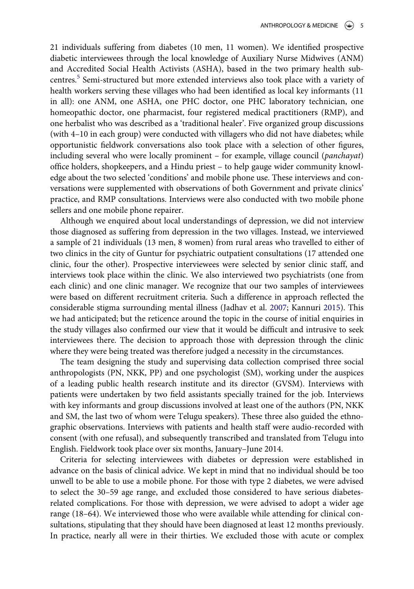21 individuals suffering from diabetes (10 men, 11 women). We identified prospective diabetic interviewees through the local knowledge of Auxiliary Nurse Midwives (ANM) and Accredited Social Health Activists (ASHA), based in the two primary health subcentres.[5](#page-12-4) Semi-structured but more extended interviews also took place with a variety of health workers serving these villages who had been identified as local key informants (11 in all): one ANM, one ASHA, one PHC doctor, one PHC laboratory technician, one homeopathic doctor, one pharmacist, four registered medical practitioners (RMP), and one herbalist who was described as a 'traditional healer'. Five organized group discussions (with 4–10 in each group) were conducted with villagers who did not have diabetes; while opportunistic fieldwork conversations also took place with a selection of other figures, including several who were locally prominent  $-$  for example, village council (*panchayat*) office holders, shopkeepers, and a Hindu priest – to help gauge wider community knowledge about the two selected 'conditions' and mobile phone use. These interviews and conversations were supplemented with observations of both Government and private clinics' practice, and RMP consultations. Interviews were also conducted with two mobile phone sellers and one mobile phone repairer.

Although we enquired about local understandings of depression, we did not interview those diagnosed as suffering from depression in the two villages. Instead, we interviewed a sample of 21 individuals (13 men, 8 women) from rural areas who travelled to either of two clinics in the city of Guntur for psychiatric outpatient consultations (17 attended one clinic, four the other). Prospective interviewees were selected by senior clinic staff, and interviews took place within the clinic. We also interviewed two psychiatrists (one from each clinic) and one clinic manager. We recognize that our two samples of interviewees were based on different recruitment criteria. Such a difference in approach reflected the considerable stigma surrounding mental illness (Jadhav et al. [2007;](#page-14-9) Kannuri [2015\)](#page-15-11). This we had anticipated; but the reticence around the topic in the course of initial enquiries in the study villages also confirmed our view that it would be difficult and intrusive to seek interviewees there. The decision to approach those with depression through the clinic where they were being treated was therefore judged a necessity in the circumstances.

<span id="page-5-0"></span>The team designing the study and supervising data collection comprised three social anthropologists (PN, NKK, PP) and one psychologist (SM), working under the auspices of a leading public health research institute and its director (GVSM). Interviews with patients were undertaken by two field assistants specially trained for the job. Interviews with key informants and group discussions involved at least one of the authors (PN, NKK and SM, the last two of whom were Telugu speakers). These three also guided the ethnographic observations. Interviews with patients and health staff were audio-recorded with consent (with one refusal), and subsequently transcribed and translated from Telugu into English. Fieldwork took place over six months, January–June 2014.

Criteria for selecting interviewees with diabetes or depression were established in advance on the basis of clinical advice. We kept in mind that no individual should be too unwell to be able to use a mobile phone. For those with type 2 diabetes, we were advised to select the 30–59 age range, and excluded those considered to have serious diabetesrelated complications. For those with depression, we were advised to adopt a wider age range (18–64). We interviewed those who were available while attending for clinical consultations, stipulating that they should have been diagnosed at least 12 months previously. In practice, nearly all were in their thirties. We excluded those with acute or complex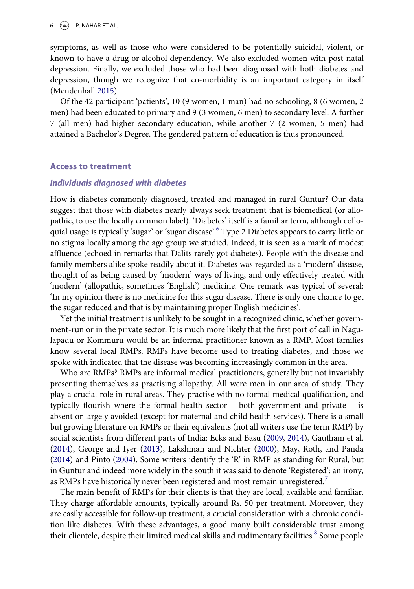symptoms, as well as those who were considered to be potentially suicidal, violent, or known to have a drug or alcohol dependency. We also excluded women with post-natal depression. Finally, we excluded those who had been diagnosed with both diabetes and depression, though we recognize that co-morbidity is an important category in itself (Mendenhall [2015](#page-15-12)).

<span id="page-6-3"></span>Of the 42 participant 'patients', 10 (9 women, 1 man) had no schooling, 8 (6 women, 2 men) had been educated to primary and 9 (3 women, 6 men) to secondary level. A further 7 (all men) had higher secondary education, while another 7 (2 women, 5 men) had attained a Bachelor's Degree. The gendered pattern of education is thus pronounced.

#### Access to treatment

#### Individuals diagnosed with diabetes

How is diabetes commonly diagnosed, treated and managed in rural Guntur? Our data suggest that those with diabetes nearly always seek treatment that is biomedical (or allopathic, to use the locally common label). 'Diabetes' itself is a familiar term, although colloquial usage is typically 'sugar' or 'sugar disease'. [6](#page-12-5) Type 2 Diabetes appears to carry little or no stigma locally among the age group we studied. Indeed, it is seen as a mark of modest affluence (echoed in remarks that Dalits rarely got diabetes). People with the disease and family members alike spoke readily about it. Diabetes was regarded as a 'modern' disease, thought of as being caused by 'modern' ways of living, and only effectively treated with 'modern' (allopathic, sometimes 'English') medicine. One remark was typical of several: 'In my opinion there is no medicine for this sugar disease. There is only one chance to get the sugar reduced and that is by maintaining proper English medicines'.

Yet the initial treatment is unlikely to be sought in a recognized clinic, whether government-run or in the private sector. It is much more likely that the first port of call in Nagulapadu or Kommuru would be an informal practitioner known as a RMP. Most families know several local RMPs. RMPs have become used to treating diabetes, and those we spoke with indicated that the disease was becoming increasingly common in the area.

Who are RMPs? RMPs are informal medical practitioners, generally but not invariably presenting themselves as practising allopathy. All were men in our area of study. They play a crucial role in rural areas. They practise with no formal medical qualification, and typically flourish where the formal health sector – both government and private – is absent or largely avoided (except for maternal and child health services). There is a small but growing literature on RMPs or their equivalents (not all writers use the term RMP) by social scientists from different parts of India: Ecks and Basu [\(2009](#page-14-13), [2014\)](#page-14-14), Gautham et al. [\(2014](#page-14-15)), George and Iyer ([2013\)](#page-14-16), Lakshman and Nichter [\(2000](#page-15-13)), May, Roth, and Panda [\(2014](#page-15-14)) and Pinto [\(2004](#page-15-15)). Some writers identify the 'R' in RMP as standing for Rural, but in Guntur and indeed more widely in the south it was said to denote 'Registered': an irony, as RMPs have historically never been registered and most remain unregistered.<sup>[7](#page-12-6)</sup>

<span id="page-6-2"></span><span id="page-6-1"></span><span id="page-6-0"></span>The main benefit of RMPs for their clients is that they are local, available and familiar. They charge affordable amounts, typically around Rs. 50 per treatment. Moreover, they are easily accessible for follow-up treatment, a crucial consideration with a chronic condition like diabetes. With these advantages, a good many built considerable trust among their clientele, despite their limited medical skills and rudimentary facilities.<sup>[8](#page-13-0)</sup> Some people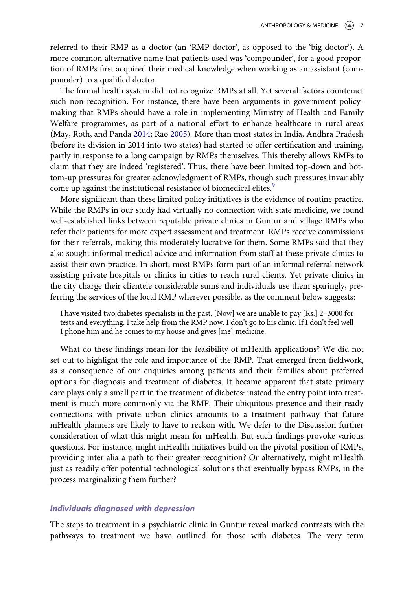referred to their RMP as a doctor (an 'RMP doctor', as opposed to the 'big doctor'). A more common alternative name that patients used was 'compounder', for a good proportion of RMPs first acquired their medical knowledge when working as an assistant (compounder) to a qualified doctor.

<span id="page-7-0"></span>The formal health system did not recognize RMPs at all. Yet several factors counteract such non-recognition. For instance, there have been arguments in government policymaking that RMPs should have a role in implementing Ministry of Health and Family Welfare programmes, as part of a national effort to enhance healthcare in rural areas (May, Roth, and Panda [2014](#page-15-14); Rao [2005](#page-15-16)). More than most states in India, Andhra Pradesh (before its division in 2014 into two states) had started to offer certification and training, partly in response to a long campaign by RMPs themselves. This thereby allows RMPs to claim that they are indeed 'registered'. Thus, there have been limited top-down and bottom-up pressures for greater acknowledgment of RMPs, though such pressures invariably come up against the institutional resistance of biomedical elites.<sup>[9](#page-13-1)</sup>

More significant than these limited policy initiatives is the evidence of routine practice. While the RMPs in our study had virtually no connection with state medicine, we found well-established links between reputable private clinics in Guntur and village RMPs who refer their patients for more expert assessment and treatment. RMPs receive commissions for their referrals, making this moderately lucrative for them. Some RMPs said that they also sought informal medical advice and information from staff at these private clinics to assist their own practice. In short, most RMPs form part of an informal referral network assisting private hospitals or clinics in cities to reach rural clients. Yet private clinics in the city charge their clientele considerable sums and individuals use them sparingly, preferring the services of the local RMP wherever possible, as the comment below suggests:

I have visited two diabetes specialists in the past. [Now] we are unable to pay [Rs.] 2–3000 for tests and everything. I take help from the RMP now. I don't go to his clinic. If I don't feel well I phone him and he comes to my house and gives [me] medicine.

What do these findings mean for the feasibility of mHealth applications? We did not set out to highlight the role and importance of the RMP. That emerged from fieldwork, as a consequence of our enquiries among patients and their families about preferred options for diagnosis and treatment of diabetes. It became apparent that state primary care plays only a small part in the treatment of diabetes: instead the entry point into treatment is much more commonly via the RMP. Their ubiquitous presence and their ready connections with private urban clinics amounts to a treatment pathway that future mHealth planners are likely to have to reckon with. We defer to the Discussion further consideration of what this might mean for mHealth. But such findings provoke various questions. For instance, might mHealth initiatives build on the pivotal position of RMPs, providing inter alia a path to their greater recognition? Or alternatively, might mHealth just as readily offer potential technological solutions that eventually bypass RMPs, in the process marginalizing them further?

#### Individuals diagnosed with depression

The steps to treatment in a psychiatric clinic in Guntur reveal marked contrasts with the pathways to treatment we have outlined for those with diabetes. The very term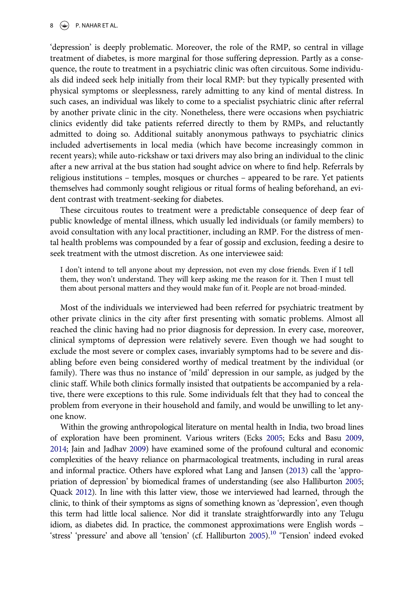'depression' is deeply problematic. Moreover, the role of the RMP, so central in village treatment of diabetes, is more marginal for those suffering depression. Partly as a consequence, the route to treatment in a psychiatric clinic was often circuitous. Some individuals did indeed seek help initially from their local RMP: but they typically presented with physical symptoms or sleeplessness, rarely admitting to any kind of mental distress. In such cases, an individual was likely to come to a specialist psychiatric clinic after referral by another private clinic in the city. Nonetheless, there were occasions when psychiatric clinics evidently did take patients referred directly to them by RMPs, and reluctantly admitted to doing so. Additional suitably anonymous pathways to psychiatric clinics included advertisements in local media (which have become increasingly common in recent years); while auto-rickshaw or taxi drivers may also bring an individual to the clinic after a new arrival at the bus station had sought advice on where to find help. Referrals by religious institutions – temples, mosques or churches – appeared to be rare. Yet patients themselves had commonly sought religious or ritual forms of healing beforehand, an evident contrast with treatment-seeking for diabetes.

These circuitous routes to treatment were a predictable consequence of deep fear of public knowledge of mental illness, which usually led individuals (or family members) to avoid consultation with any local practitioner, including an RMP. For the distress of mental health problems was compounded by a fear of gossip and exclusion, feeding a desire to seek treatment with the utmost discretion. As one interviewee said:

I don't intend to tell anyone about my depression, not even my close friends. Even if I tell them, they won't understand. They will keep asking me the reason for it. Then I must tell them about personal matters and they would make fun of it. People are not broad-minded.

Most of the individuals we interviewed had been referred for psychiatric treatment by other private clinics in the city after first presenting with somatic problems. Almost all reached the clinic having had no prior diagnosis for depression. In every case, moreover, clinical symptoms of depression were relatively severe. Even though we had sought to exclude the most severe or complex cases, invariably symptoms had to be severe and disabling before even being considered worthy of medical treatment by the individual (or family). There was thus no instance of 'mild' depression in our sample, as judged by the clinic staff. While both clinics formally insisted that outpatients be accompanied by a relative, there were exceptions to this rule. Some individuals felt that they had to conceal the problem from everyone in their household and family, and would be unwilling to let anyone know.

<span id="page-8-3"></span><span id="page-8-2"></span><span id="page-8-1"></span><span id="page-8-0"></span>Within the growing anthropological literature on mental health in India, two broad lines of exploration have been prominent. Various writers (Ecks [2005;](#page-14-17) Ecks and Basu [2009](#page-14-13), [2014](#page-14-14); Jain and Jadhav [2009\)](#page-14-8) have examined some of the profound cultural and economic complexities of the heavy reliance on pharmacological treatments, including in rural areas and informal practice. Others have explored what Lang and Jansen [\(2013\)](#page-15-17) call the 'appropriation of depression' by biomedical frames of understanding (see also Halliburton [2005](#page-14-18); Quack [2012](#page-15-18)). In line with this latter view, those we interviewed had learned, through the clinic, to think of their symptoms as signs of something known as 'depression', even though this term had little local salience. Nor did it translate straightforwardly into any Telugu idiom, as diabetes did. In practice, the commonest approximations were English words – 'stress' 'pressure' and above all 'tension' (cf. Halliburton [2005](#page-14-18)).<sup>[10](#page-13-2)</sup> 'Tension' indeed evoked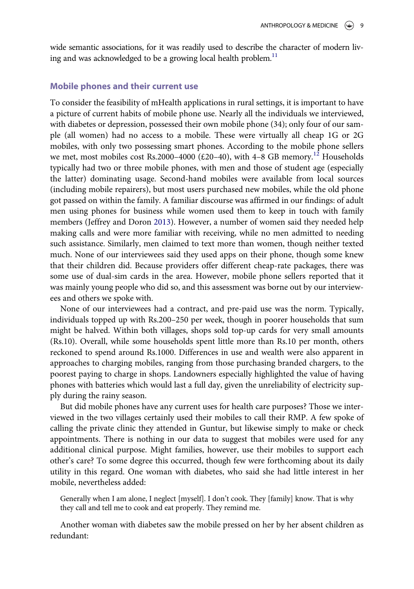wide semantic associations, for it was readily used to describe the character of modern living and was acknowledged to be a growing local health problem. $11$ 

#### Mobile phones and their current use

To consider the feasibility of mHealth applications in rural settings, it is important to have a picture of current habits of mobile phone use. Nearly all the individuals we interviewed, with diabetes or depression, possessed their own mobile phone (34); only four of our sample (all women) had no access to a mobile. These were virtually all cheap 1G or 2G mobiles, with only two possessing smart phones. According to the mobile phone sellers we met, most mobiles cost Rs.2000–4000 ( $\text{\pounds}20$ –40), with 4–8 GB memory.<sup>[12](#page-13-4)</sup> Households typically had two or three mobile phones, with men and those of student age (especially the latter) dominating usage. Second-hand mobiles were available from local sources (including mobile repairers), but most users purchased new mobiles, while the old phone got passed on within the family. A familiar discourse was affirmed in our findings: of adult men using phones for business while women used them to keep in touch with family members (Jeffrey and Doron [2013](#page-14-11)). However, a number of women said they needed help making calls and were more familiar with receiving, while no men admitted to needing such assistance. Similarly, men claimed to text more than women, though neither texted much. None of our interviewees said they used apps on their phone, though some knew that their children did. Because providers offer different cheap-rate packages, there was some use of dual-sim cards in the area. However, mobile phone sellers reported that it was mainly young people who did so, and this assessment was borne out by our interviewees and others we spoke with.

None of our interviewees had a contract, and pre-paid use was the norm. Typically, individuals topped up with Rs.200–250 per week, though in poorer households that sum might be halved. Within both villages, shops sold top-up cards for very small amounts (Rs.10). Overall, while some households spent little more than Rs.10 per month, others reckoned to spend around Rs.1000. Differences in use and wealth were also apparent in approaches to charging mobiles, ranging from those purchasing branded chargers, to the poorest paying to charge in shops. Landowners especially highlighted the value of having phones with batteries which would last a full day, given the unreliability of electricity supply during the rainy season.

But did mobile phones have any current uses for health care purposes? Those we interviewed in the two villages certainly used their mobiles to call their RMP. A few spoke of calling the private clinic they attended in Guntur, but likewise simply to make or check appointments. There is nothing in our data to suggest that mobiles were used for any additional clinical purpose. Might families, however, use their mobiles to support each other's care? To some degree this occurred, though few were forthcoming about its daily utility in this regard. One woman with diabetes, who said she had little interest in her mobile, nevertheless added:

Generally when I am alone, I neglect [myself]. I don't cook. They [family] know. That is why they call and tell me to cook and eat properly. They remind me.

Another woman with diabetes saw the mobile pressed on her by her absent children as redundant: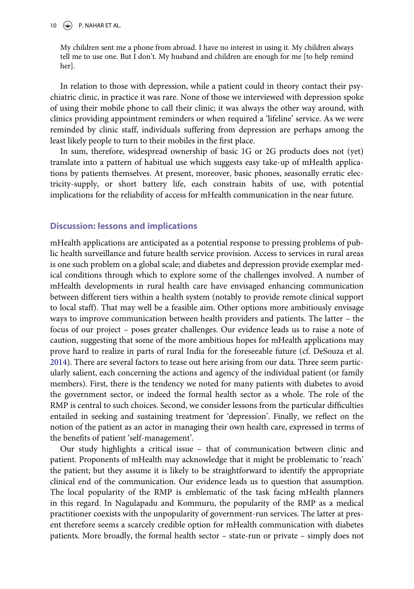My children sent me a phone from abroad. I have no interest in using it. My children always tell me to use one. But I don't. My husband and children are enough for me [to help remind her].

In relation to those with depression, while a patient could in theory contact their psychiatric clinic, in practice it was rare. None of those we interviewed with depression spoke of using their mobile phone to call their clinic; it was always the other way around, with clinics providing appointment reminders or when required a 'lifeline' service. As we were reminded by clinic staff, individuals suffering from depression are perhaps among the least likely people to turn to their mobiles in the first place.

In sum, therefore, widespread ownership of basic 1G or 2G products does not (yet) translate into a pattern of habitual use which suggests easy take-up of mHealth applications by patients themselves. At present, moreover, basic phones, seasonally erratic electricity-supply, or short battery life, each constrain habits of use, with potential implications for the reliability of access for mHealth communication in the near future.

## Discussion: lessons and implications

mHealth applications are anticipated as a potential response to pressing problems of public health surveillance and future health service provision. Access to services in rural areas is one such problem on a global scale; and diabetes and depression provide exemplar medical conditions through which to explore some of the challenges involved. A number of mHealth developments in rural health care have envisaged enhancing communication between different tiers within a health system (notably to provide remote clinical support to local staff). That may well be a feasible aim. Other options more ambitiously envisage ways to improve communication between health providers and patients. The latter – the focus of our project – poses greater challenges. Our evidence leads us to raise a note of caution, suggesting that some of the more ambitious hopes for mHealth applications may prove hard to realize in parts of rural India for the foreseeable future (cf. DeSouza et al. [2014\)](#page-14-2). There are several factors to tease out here arising from our data. Three seem particularly salient, each concerning the actions and agency of the individual patient (or family members). First, there is the tendency we noted for many patients with diabetes to avoid the government sector, or indeed the formal health sector as a whole. The role of the RMP is central to such choices. Second, we consider lessons from the particular difficulties entailed in seeking and sustaining treatment for 'depression'. Finally, we reflect on the notion of the patient as an actor in managing their own health care, expressed in terms of the benefits of patient 'self-management'.

Our study highlights a critical issue – that of communication between clinic and patient. Proponents of mHealth may acknowledge that it might be problematic to 'reach' the patient; but they assume it is likely to be straightforward to identify the appropriate clinical end of the communication. Our evidence leads us to question that assumption. The local popularity of the RMP is emblematic of the task facing mHealth planners in this regard. In Nagulapadu and Kommuru, the popularity of the RMP as a medical practitioner coexists with the unpopularity of government-run services. The latter at present therefore seems a scarcely credible option for mHealth communication with diabetes patients. More broadly, the formal health sector – state-run or private – simply does not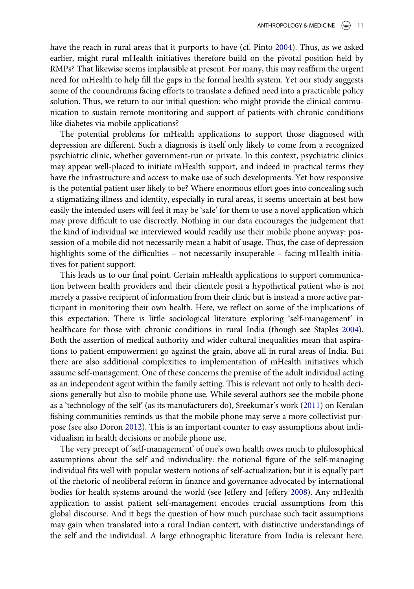have the reach in rural areas that it purports to have (cf. Pinto [2004](#page-15-15)). Thus, as we asked earlier, might rural mHealth initiatives therefore build on the pivotal position held by RMPs? That likewise seems implausible at present. For many, this may reaffirm the urgent need for mHealth to help fill the gaps in the formal health system. Yet our study suggests some of the conundrums facing efforts to translate a defined need into a practicable policy solution. Thus, we return to our initial question: who might provide the clinical communication to sustain remote monitoring and support of patients with chronic conditions like diabetes via mobile applications?

The potential problems for mHealth applications to support those diagnosed with depression are different. Such a diagnosis is itself only likely to come from a recognized psychiatric clinic, whether government-run or private. In this context, psychiatric clinics may appear well-placed to initiate mHealth support, and indeed in practical terms they have the infrastructure and access to make use of such developments. Yet how responsive is the potential patient user likely to be? Where enormous effort goes into concealing such a stigmatizing illness and identity, especially in rural areas, it seems uncertain at best how easily the intended users will feel it may be 'safe' for them to use a novel application which may prove difficult to use discreetly. Nothing in our data encourages the judgement that the kind of individual we interviewed would readily use their mobile phone anyway: possession of a mobile did not necessarily mean a habit of usage. Thus, the case of depression highlights some of the difficulties – not necessarily insuperable – facing mHealth initiatives for patient support.

<span id="page-11-3"></span>This leads us to our final point. Certain mHealth applications to support communication between health providers and their clientele posit a hypothetical patient who is not merely a passive recipient of information from their clinic but is instead a more active participant in monitoring their own health. Here, we reflect on some of the implications of this expectation. There is little sociological literature exploring 'self-management' in healthcare for those with chronic conditions in rural India (though see Staples [2004\)](#page-16-3). Both the assertion of medical authority and wider cultural inequalities mean that aspirations to patient empowerment go against the grain, above all in rural areas of India. But there are also additional complexities to implementation of mHealth initiatives which assume self-management. One of these concerns the premise of the adult individual acting as an independent agent within the family setting. This is relevant not only to health decisions generally but also to mobile phone use. While several authors see the mobile phone as a 'technology of the self' (as its manufacturers do), Sreekumar's work ([2011\)](#page-16-4) on Keralan fishing communities reminds us that the mobile phone may serve a more collectivist purpose (see also Doron [2012](#page-14-19)). This is an important counter to easy assumptions about individualism in health decisions or mobile phone use.

<span id="page-11-2"></span><span id="page-11-1"></span><span id="page-11-0"></span>The very precept of 'self-management' of one's own health owes much to philosophical assumptions about the self and individuality: the notional figure of the self-managing individual fits well with popular western notions of self-actualization; but it is equally part of the rhetoric of neoliberal reform in finance and governance advocated by international bodies for health systems around the world (see Jeffery and Jeffery [2008](#page-14-20)). Any mHealth application to assist patient self-management encodes crucial assumptions from this global discourse. And it begs the question of how much purchase such tacit assumptions may gain when translated into a rural Indian context, with distinctive understandings of the self and the individual. A large ethnographic literature from India is relevant here.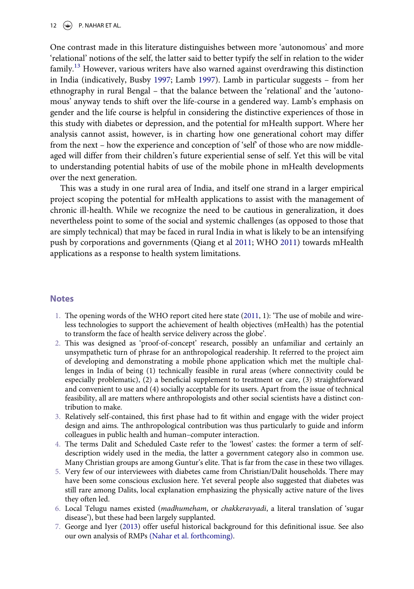12  $\left(\bigoplus$  P. NAHAR ET AL.

<span id="page-12-7"></span>One contrast made in this literature distinguishes between more 'autonomous' and more 'relational' notions of the self, the latter said to better typify the self in relation to the wider family.<sup>[13](#page-13-5)</sup> However, various writers have also warned against overdrawing this distinction in India (indicatively, Busby [1997](#page-14-21); Lamb [1997\)](#page-15-19). Lamb in particular suggests – from her ethnography in rural Bengal – that the balance between the 'relational' and the 'autonomous' anyway tends to shift over the life-course in a gendered way. Lamb's emphasis on gender and the life course is helpful in considering the distinctive experiences of those in this study with diabetes or depression, and the potential for mHealth support. Where her analysis cannot assist, however, is in charting how one generational cohort may differ from the next – how the experience and conception of 'self' of those who are now middleaged will differ from their children's future experiential sense of self. Yet this will be vital to understanding potential habits of use of the mobile phone in mHealth developments over the next generation.

This was a study in one rural area of India, and itself one strand in a larger empirical project scoping the potential for mHealth applications to assist with the management of chronic ill-health. While we recognize the need to be cautious in generalization, it does nevertheless point to some of the social and systemic challenges (as opposed to those that are simply technical) that may be faced in rural India in what is likely to be an intensifying push by corporations and governments (Qiang et al [2011](#page-15-2); WHO [2011](#page-16-0)) towards mHealth applications as a response to health system limitations.

#### <span id="page-12-0"></span>**Notes**

- 1. The opening words of the WHO report cited here state [\(2011,](#page-16-0) 1): 'The use of mobile and wireless technologies to support the achievement of health objectives (mHealth) has the potential to transform the face of health service delivery across the globe'.
- <span id="page-12-1"></span>2. This was designed as 'proof-of-concept' research, possibly an unfamiliar and certainly an unsympathetic turn of phrase for an anthropological readership. It referred to the project aim of developing and demonstrating a mobile phone application which met the multiple challenges in India of being (1) technically feasible in rural areas (where connectivity could be especially problematic), (2) a beneficial supplement to treatment or care, (3) straightforward and convenient to use and (4) socially acceptable for its users. Apart from the issue of technical feasibility, all are matters where anthropologists and other social scientists have a distinct contribution to make.
- <span id="page-12-2"></span>3. Relatively self-contained, this first phase had to fit within and engage with the wider project design and aims. The anthropological contribution was thus particularly to guide and inform colleagues in public health and human–computer interaction.
- <span id="page-12-3"></span>4. The terms Dalit and Scheduled Caste refer to the 'lowest' castes: the former a term of selfdescription widely used in the media, the latter a government category also in common use. Many Christian groups are among Guntur's elite. That is far from the case in these two villages.
- <span id="page-12-4"></span>5. Very few of our interviewees with diabetes came from Christian/Dalit households. There may have been some conscious exclusion here. Yet several people also suggested that diabetes was still rare among Dalits, local explanation emphasizing the physically active nature of the lives they often led.
- <span id="page-12-5"></span>6. Local Telugu names existed (madhumeham, or chakkeravyadi, a literal translation of 'sugar disease'), but these had been largely supplanted.
- <span id="page-12-8"></span><span id="page-12-6"></span>7. George and Iyer [\(2013](#page-14-16)) offer useful historical background for this definitional issue. See also our own analysis of RMPs [\(Nahar et al. forthcoming\).](#page-15-20)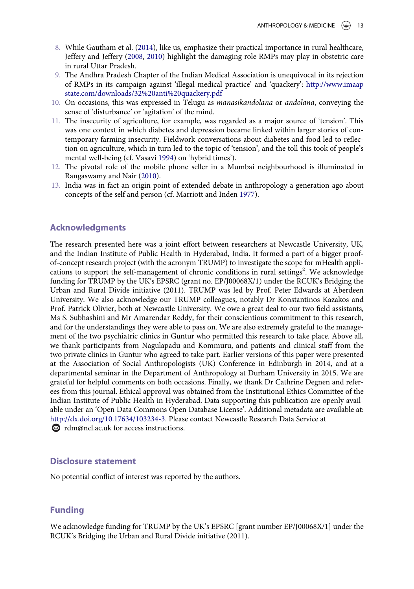- <span id="page-13-6"></span><span id="page-13-0"></span>8. While Gautham et al. [\(2014](#page-14-15)), like us, emphasize their practical importance in rural healthcare, Jeffery and Jeffery [\(2008](#page-14-20), [2010](#page-14-22)) highlight the damaging role RMPs may play in obstetric care in rural Uttar Pradesh.
- <span id="page-13-1"></span>9. The Andhra Pradesh Chapter of the Indian Medical Association is unequivocal in its rejection of RMPs in its campaign against 'illegal medical practice' and 'quackery': [http://www.imaap](http://www.imaapstate.com/downloads/32%20anti%20quackery.pdf) [state.com/downloads/32%20anti%20quackery.pdf](http://www.imaapstate.com/downloads/32%20anti%20quackery.pdf)
- <span id="page-13-2"></span>10. On occasions, this was expressed in Telugu as manasikandolana or andolana, conveying the sense of 'disturbance' or 'agitation' of the mind.
- <span id="page-13-3"></span>11. The insecurity of agriculture, for example, was regarded as a major source of 'tension'. This was one context in which diabetes and depression became linked within larger stories of contemporary farming insecurity. Fieldwork conversations about diabetes and food led to reflection on agriculture, which in turn led to the topic of 'tension', and the toll this took of people's mental well-being (cf. Vasavi [1994\)](#page-16-5) on 'hybrid times').
- <span id="page-13-9"></span><span id="page-13-4"></span>12. The pivotal role of the mobile phone seller in a Mumbai neighbourhood is illuminated in Rangaswamy and Nair [\(2010](#page-15-21)).
- <span id="page-13-8"></span><span id="page-13-7"></span><span id="page-13-5"></span>13. India was in fact an origin point of extended debate in anthropology a generation ago about concepts of the self and person (cf. Marriott and Inden [1977\)](#page-15-22).

### Acknowledgments

The research presented here was a joint effort between researchers at Newcastle University, UK, and the Indian Institute of Public Health in Hyderabad, India. It formed a part of a bigger proofof-concept research project (with the acronym TRUMP) to investigate the scope for mHealth applications to support the self-management of chronic conditions in rural settings<sup>2</sup>. We acknowledge funding for TRUMP by the UK's EPSRC (grant no. EP/J00068X/1) under the RCUK's Bridging the Urban and Rural Divide initiative (2011). TRUMP was led by Prof. Peter Edwards at Aberdeen University. We also acknowledge our TRUMP colleagues, notably Dr Konstantinos Kazakos and Prof. Patrick Olivier, both at Newcastle University. We owe a great deal to our two field assistants, Ms S. Subhashini and Mr Amarendar Reddy, for their conscientious commitment to this research, and for the understandings they were able to pass on. We are also extremely grateful to the management of the two psychiatric clinics in Guntur who permitted this research to take place. Above all, we thank participants from Nagulapadu and Kommuru, and patients and clinical staff from the two private clinics in Guntur who agreed to take part. Earlier versions of this paper were presented at the Association of Social Anthropologists (UK) Conference in Edinburgh in 2014, and at a departmental seminar in the Department of Anthropology at Durham University in 2015. We are grateful for helpful comments on both occasions. Finally, we thank Dr Cathrine Degnen and referees from this journal. Ethical approval was obtained from the Institutional Ethics Committee of the Indian Institute of Public Health in Hyderabad. Data supporting this publication are openly available under an 'Open Data Commons Open Database License'. Additional metadata are available at: [http://dx.doi.org/10.17634/103234-3.](http://dx.doi.org/10.17634/103234-3) Please contact Newcastle Research Data Service at  $\otimes$  [rdm@ncl.ac.uk](mailto:rdm@ncl.ac.uk) for access instructions.

### Disclosure statement

No potential conflict of interest was reported by the authors.

### Funding

We acknowledge funding for TRUMP by the UK's EPSRC [grant number EP/J00068X/1] under the RCUK's Bridging the Urban and Rural Divide initiative (2011).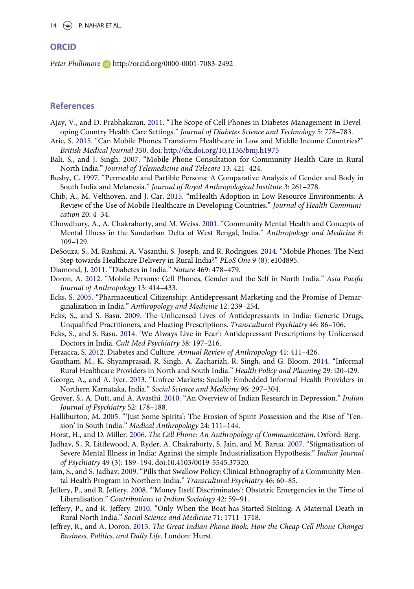#### **ORCID**

Peter Phillimore **<http://orcid.org/0000-0001-7083-2492>** 

#### **References**

- <span id="page-14-3"></span>Ajay, V., and D. Prabhakaran. [2011](#page-2-0). "The Scope of Cell Phones in Diabetes Management in Developing Country Health Care Settings." Journal of Diabetes Science and Technology 5: 778–783.
- <span id="page-14-0"></span>Arie, S. [2015](#page-1-2). "Can Mobile Phones Transform Healthcare in Low and Middle Income Countries?" British Medical Journal 350. doi: <http://dx.doi.org/10.1136/bmj.h1975>
- <span id="page-14-4"></span>Bali, S., and J. Singh. [2007.](#page-2-1) "Mobile Phone Consultation for Community Health Care in Rural North India." Journal of Telemedicine and Telecare 13: 421–424.
- <span id="page-14-21"></span>Busby, C. [1997.](#page-12-7) "Permeable and Partible Persons: A Comparative Analysis of Gender and Body in South India and Melanesia." Journal of Royal Anthropological Institute 3: 261–278.
- <span id="page-14-1"></span>Chib, A., M. Velthoven, and J. Car. [2015.](#page-2-2) "mHealth Adoption in Low Resource Environments: A Review of the Use of Mobile Healthcare in Developing Countries." Journal of Health Communication 20: 4–34.
- <span id="page-14-7"></span>Chowdhury, A., A. Chakraborty, and M. Weiss. [2001.](#page-3-0) "Community Mental Health and Concepts of Mental Illness in the Sundarban Delta of West Bengal, India." Anthropology and Medicine 8: 109–129.
- <span id="page-14-2"></span>DeSouza, S., M. Rashmi, A. Vasanthi, S. Joseph, and R. Rodrigues. [2014.](#page-2-3) "Mobile Phones: The Next Step towards Healthcare Delivery in Rural India?" PLoS One 9 (8): e104895.
- <span id="page-14-5"></span>Diamond, J. [2011.](#page-3-1) "Diabetes in India." Nature 469: 478–479.
- <span id="page-14-19"></span>Doron, A. [2012.](#page-11-0) "Mobile Persons: Cell Phones, Gender and the Self in North India." Asia Pacific Journal of Anthropology 13: 414–433.
- <span id="page-14-17"></span>Ecks, S. [2005](#page-8-0). "Pharmaceutical Citizenship: Antidepressant Marketing and the Promise of Demarginalization in India." Anthropology and Medicine 12: 239–254.
- <span id="page-14-13"></span>Ecks, S., and S. Basu. [2009.](#page-6-0) The Unlicensed Lives of Antidepressants in India: Generic Drugs, Unqualified Practitioners, and Floating Prescriptions. Transcultural Psychiatry 46: 86–106.
- <span id="page-14-14"></span>Ecks, S., and S. Basu. [2014](#page-6-0). 'We Always Live in Fear': Antidepressant Prescriptions by Unlicensed Doctors in India. Cult Med Psychiatry 38: 197–216.
- <span id="page-14-6"></span>Ferzacca, S. [2012](#page-3-2). Diabetes and Culture. Annual Review of Anthropology 41: 411–426.
- <span id="page-14-15"></span>Gautham, M., K. Shyamprasad, R. Singh, A. Zachariah, R. Singh, and G. Bloom. [2014](#page-6-1). "Informal Rural Healthcare Providers in North and South India." Health Policy and Planning 29: i20–i29.
- <span id="page-14-16"></span>George, A., and A. Iyer. [2013.](#page-6-1) "Unfree Markets: Socially Embedded Informal Health Providers in Northern Karnataka, India." Social Science and Medicine 96: 297–304.
- <span id="page-14-10"></span>Grover, S., A. Dutt, and A. Avasthi. [2010.](#page-4-0) "An Overview of Indian Research in Depression." Indian Journal of Psychiatry 52: 178–188.
- <span id="page-14-18"></span>Halliburton, M. [2005.](#page-8-1) "'Just Some Spirits': The Erosion of Spirit Possession and the Rise of 'Tension' in South India." Medical Anthropology 24: 111–144.
- <span id="page-14-12"></span>Horst, H., and D. Miller. [2006.](#page-4-1) The Cell Phone: An Anthropology of Communication. Oxford: Berg.
- <span id="page-14-9"></span>Jadhav, S., R. Littlewood, A. Ryder, A. Chakraborty, S. Jain, and M. Barua. [2007.](#page-4-2) "Stigmatization of Severe Mental Illness in India: Against the simple Industrialization Hypothesis." Indian Journal of Psychiatry 49 (3): 189–194. doi[:10.4103/0019-5545.37320.](http://dx.doi.org/10.4103/0019-5545.37320)
- <span id="page-14-8"></span>Jain, S., and S. Jadhav. [2009](#page-3-3). "Pills that Swallow Policy: Clinical Ethnography of a Community Mental Health Program in Northern India." Transcultural Psychiatry 46: 60–85.
- <span id="page-14-20"></span>Jeffery, P., and R. Jeffery. [2008.](#page-11-1) "'Money Itself Discriminates': Obstetric Emergencies in the Time of Liberalisation." Contributions to Indian Sociology 42: 59–91.
- <span id="page-14-22"></span>Jeffery, P., and R. Jeffery. [2010.](#page-13-6) "Only When the Boat has Started Sinking: A Maternal Death in Rural North India." Social Science and Medicine 71: 1711–1718.
- <span id="page-14-11"></span>Jeffrey, R., and A. Doron. [2013.](#page-4-3) The Great Indian Phone Book: How the Cheap Cell Phone Changes Business, Politics, and Daily Life. London: Hurst.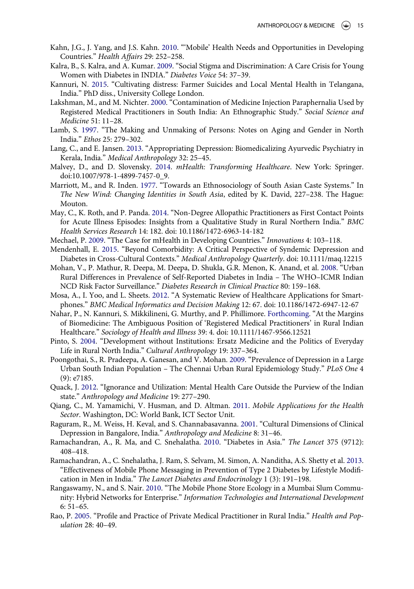- <span id="page-15-3"></span>Kahn, J.G., J. Yang, and J.S. Kahn. [2010.](#page-2-4) "'Mobile' Health Needs and Opportunities in Developing Countries." Health Affairs 29: 252–258.
- <span id="page-15-8"></span>Kalra, B., S. Kalra, and A. Kumar. [2009](#page-3-4). "Social Stigma and Discrimination: A Care Crisis for Young Women with Diabetes in INDIA." Diabetes Voice 54: 37–39.
- <span id="page-15-11"></span>Kannuri, N. [2015](#page-5-0). "Cultivating distress: Farmer Suicides and Local Mental Health in Telangana, India." PhD diss., University College London.
- <span id="page-15-13"></span>Lakshman, M., and M. Nichter. [2000.](#page-6-1) "Contamination of Medicine Injection Paraphernalia Used by Registered Medical Practitioners in South India: An Ethnographic Study." Social Science and Medicine 51: 11–28.
- <span id="page-15-19"></span>Lamb, S. [1997](#page-12-7). "The Making and Unmaking of Persons: Notes on Aging and Gender in North India." Ethos 25: 279–302.
- <span id="page-15-17"></span>Lang, C., and E. Jansen. [2013.](#page-8-2) "Appropriating Depression: Biomedicalizing Ayurvedic Psychiatry in Kerala, India." Medical Anthropology 32: 25–45.
- <span id="page-15-0"></span>Malvey, D., and D. Slovensky. [2014](#page-1-3). mHealth: Transforming Healthcare. New York: Springer. doi:[10.1007/978-1-4899-7457-0\\_9.](http://dx.doi.org/10.1007/978-1-4899-7457-0_9)
- <span id="page-15-22"></span>Marriott, M., and R. Inden. [1977.](#page-13-7) "Towards an Ethnosociology of South Asian Caste Systems." In The New Wind: Changing Identities in South Asia, edited by K. David, 227–238. The Hague: Mouton.
- <span id="page-15-14"></span>May, C., K. Roth, and P. Panda. [2014](#page-6-2). "Non-Degree Allopathic Practitioners as First Contact Points for Acute Illness Episodes: Insights from a Qualitative Study in Rural Northern India." BMC Health Services Research 14: 182. doi: [10.1186/1472-6963-14-182](http://dx.doi.org/10.1186/1472-6963-14-182)
- <span id="page-15-4"></span>Mechael, P. [2009.](#page-2-2) "The Case for mHealth in Developing Countries." Innovations 4: 103–118.
- <span id="page-15-12"></span>Mendenhall, E. [2015.](#page-6-3) "Beyond Comorbidity: A Critical Perspective of Syndemic Depression and Diabetes in Cross-Cultural Contexts." Medical Anthropology Quarterly. doi: [10.1111/maq.12215](http://dx.doi.org/10.1111/maq.12215)
- <span id="page-15-6"></span>Mohan, V., P. Mathur, R. Deepa, M. Deepa, D. Shukla, G.R. Menon, K. Anand, et al. [2008.](#page-3-5) "Urban Rural Differences in Prevalence of Self-Reported Diabetes in India – The WHO–ICMR Indian NCD Risk Factor Surveillance." Diabetes Research in Clinical Practice 80: 159–168.
- <span id="page-15-1"></span>Mosa, A., I. Yoo, and L. Sheets. [2012.](#page-1-3) "A Systematic Review of Healthcare Applications for Smartphones." BMC Medical Informatics and Decision Making 12: 67. doi: [10.1186/1472-6947-12-67](http://dx.doi.org/10.1186/1472-6947-12-67)
- <span id="page-15-20"></span>Nahar, P., N. Kannuri, S. Mikkilineni, G. Murthy, and P. Phillimore. [Forthcoming](#page-12-8). "At the Margins of Biomedicine: The Ambiguous Position of 'Registered Medical Practitioners' in Rural Indian Healthcare." Sociology of Health and Illness 39: 4. doi: [10.1111/1467-9566.12521](http://dx.doi.org/10.1111/1467-9566.12521)
- <span id="page-15-15"></span>Pinto, S. [2004.](#page-6-2) "Development without Institutions: Ersatz Medicine and the Politics of Everyday Life in Rural North India." Cultural Anthropology 19: 337–364.
- <span id="page-15-10"></span>Poongothai, S., R. Pradeepa, A. Ganesan, and V. Mohan. [2009.](#page-4-4) "Prevalence of Depression in a Large Urban South Indian Population – The Chennai Urban Rural Epidemiology Study." PLoS One 4 (9): e7185.
- <span id="page-15-18"></span>Quack, J. [2012.](#page-8-3) "Ignorance and Utilization: Mental Health Care Outside the Purview of the Indian state." Anthropology and Medicine 19: 277–290.
- <span id="page-15-2"></span>Qiang, C., M. Yamamichi, V. Husman, and D. Altman. [2011.](#page-1-4) Mobile Applications for the Health Sector. Washington, DC: World Bank, ICT Sector Unit.
- <span id="page-15-9"></span>Raguram, R., M. Weiss, H. Keval, and S. Channabasavanna. [2001](#page-3-3). "Cultural Dimensions of Clinical Depression in Bangalore, India." Anthropology and Medicine 8: 31–46.
- <span id="page-15-7"></span>Ramachandran, A., R. Ma, and C. Snehalatha. [2010](#page-3-6). "Diabetes in Asia." The Lancet 375 (9712): 408–418.
- <span id="page-15-5"></span>Ramachandran, A., C. Snehalatha, J. Ram, S. Selvam, M. Simon, A. Nanditha, A.S. Shetty et al. [2013](#page-2-0). "Effectiveness of Mobile Phone Messaging in Prevention of Type 2 Diabetes by Lifestyle Modification in Men in India." The Lancet Diabetes and Endocrinology 1 (3): 191–198.
- <span id="page-15-21"></span>Rangaswamy, N., and S. Nair. [2010.](#page-13-8) "The Mobile Phone Store Ecology in a Mumbai Slum Community: Hybrid Networks for Enterprise." Information Technologies and International Development 6: 51–65.
- <span id="page-15-16"></span>Rao, P. [2005.](#page-7-0) "Profile and Practice of Private Medical Practitioner in Rural India." Health and Population 28: 40–49.